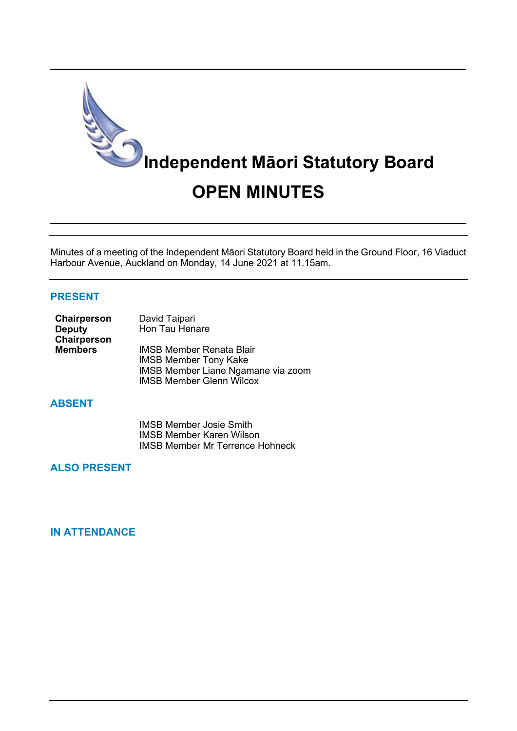

Minutes of a meeting of the Independent Māori Statutory Board held in the Ground Floor, 16 Viaduct Harbour Avenue, Auckland on Monday, 14 June 2021 at 11.15am.

### **PRESENT**

| Chairperson    | David Taipari                             |
|----------------|-------------------------------------------|
| <b>Deputy</b>  | Hon Tau Henare                            |
| Chairperson    |                                           |
| <b>Members</b> | <b>IMSB Member Renata Blair</b>           |
|                | <b>IMSB Member Tony Kake</b>              |
|                | <b>IMSB Member Liane Ngamane via zoom</b> |
|                | <b>IMSB Member Glenn Wilcox</b>           |

# **ABSENT**

IMSB Member Josie Smith IMSB Member Karen Wilson IMSB Member Mr Terrence Hohneck

# **ALSO PRESENT**

## **IN ATTENDANCE**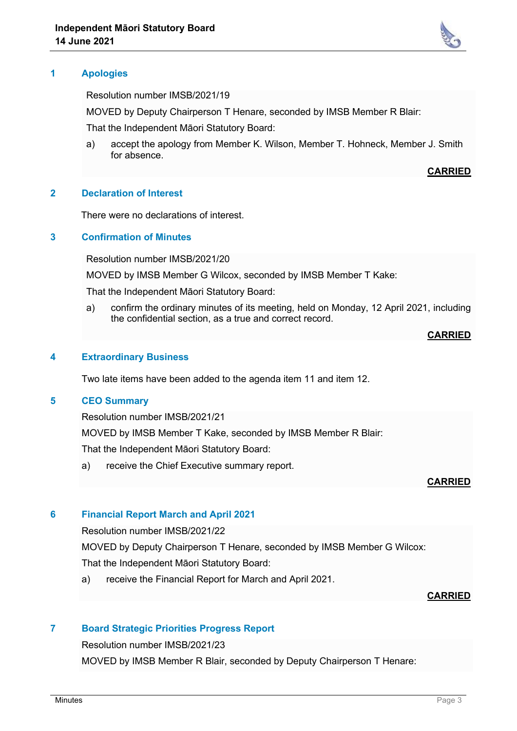

Resolution number IMSB/2021/19

MOVED by Deputy Chairperson T Henare, seconded by IMSB Member R Blair:

That the Independent Māori Statutory Board:

a) accept the apology from Member K. Wilson, Member T. Hohneck, Member J. Smith for absence.

**CARRIED**

## **2 Declaration of Interest**

There were no declarations of interest.

### **3 Confirmation of Minutes**

Resolution number IMSB/2021/20

MOVED by IMSB Member G Wilcox, seconded by IMSB Member T Kake:

That the Independent Māori Statutory Board:

a) confirm the ordinary minutes of its meeting, held on Monday, 12 April 2021, including the confidential section, as a true and correct record.

### **CARRIED**

## **4 Extraordinary Business**

Two late items have been added to the agenda item 11 and item 12.

### **5 CEO Summary**

Resolution number IMSB/2021/21

MOVED by IMSB Member T Kake, seconded by IMSB Member R Blair: That the Independent Māori Statutory Board:

a) receive the Chief Executive summary report.

## **CARRIED**

## **6 Financial Report March and April 2021**

Resolution number IMSB/2021/22

MOVED by Deputy Chairperson T Henare, seconded by IMSB Member G Wilcox:

That the Independent Māori Statutory Board:

a) receive the Financial Report for March and April 2021.

#### **CARRIED**

# **7 Board Strategic Priorities Progress Report**

Resolution number IMSB/2021/23

MOVED by IMSB Member R Blair, seconded by Deputy Chairperson T Henare: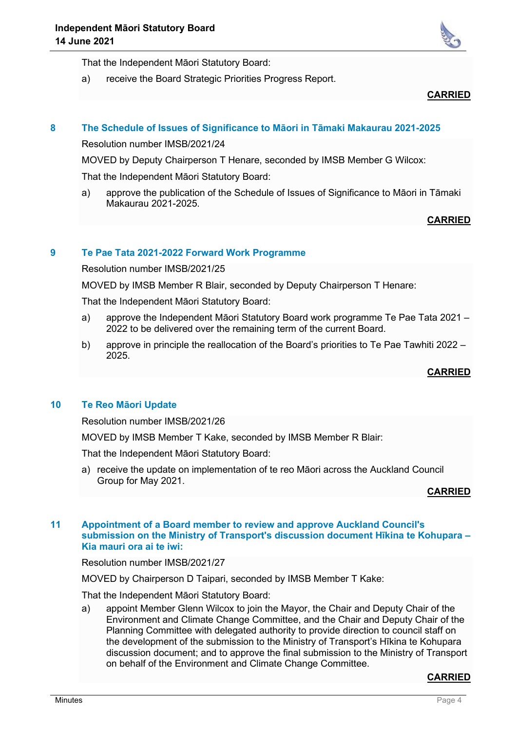

That the Independent Māori Statutory Board:

a) receive the Board Strategic Priorities Progress Report.

**CARRIED**

# **8 The Schedule of Issues of Significance to Māori in Tāmaki Makaurau 2021-2025**

Resolution number IMSB/2021/24

MOVED by Deputy Chairperson T Henare, seconded by IMSB Member G Wilcox:

That the Independent Māori Statutory Board:

a) approve the publication of the Schedule of Issues of Significance to Māori in Tāmaki Makaurau 2021-2025.

# **CARRIED**

# **9 Te Pae Tata 2021-2022 Forward Work Programme**

Resolution number IMSB/2021/25

MOVED by IMSB Member R Blair, seconded by Deputy Chairperson T Henare:

That the Independent Māori Statutory Board:

- a) approve the Independent Māori Statutory Board work programme Te Pae Tata 2021 2022 to be delivered over the remaining term of the current Board.
- b) approve in principle the reallocation of the Board's priorities to Te Pae Tawhiti 2022 2025.

## **CARRIED**

## **10 Te Reo Māori Update**

Resolution number IMSB/2021/26

MOVED by IMSB Member T Kake, seconded by IMSB Member R Blair:

That the Independent Māori Statutory Board:

a) receive the update on implementation of te reo Māori across the Auckland Council Group for May 2021.

#### **CARRIED**

### **11 Appointment of a Board member to review and approve Auckland Council's submission on the Ministry of Transport's discussion document Hīkina te Kohupara – Kia mauri ora ai te iwi:**

Resolution number IMSB/2021/27

MOVED by Chairperson D Taipari, seconded by IMSB Member T Kake:

That the Independent Māori Statutory Board:

a) appoint Member Glenn Wilcox to join the Mayor, the Chair and Deputy Chair of the Environment and Climate Change Committee, and the Chair and Deputy Chair of the Planning Committee with delegated authority to provide direction to council staff on the development of the submission to the Ministry of Transport's Hīkina te Kohupara discussion document; and to approve the final submission to the Ministry of Transport on behalf of the Environment and Climate Change Committee.

#### **CARRIED**